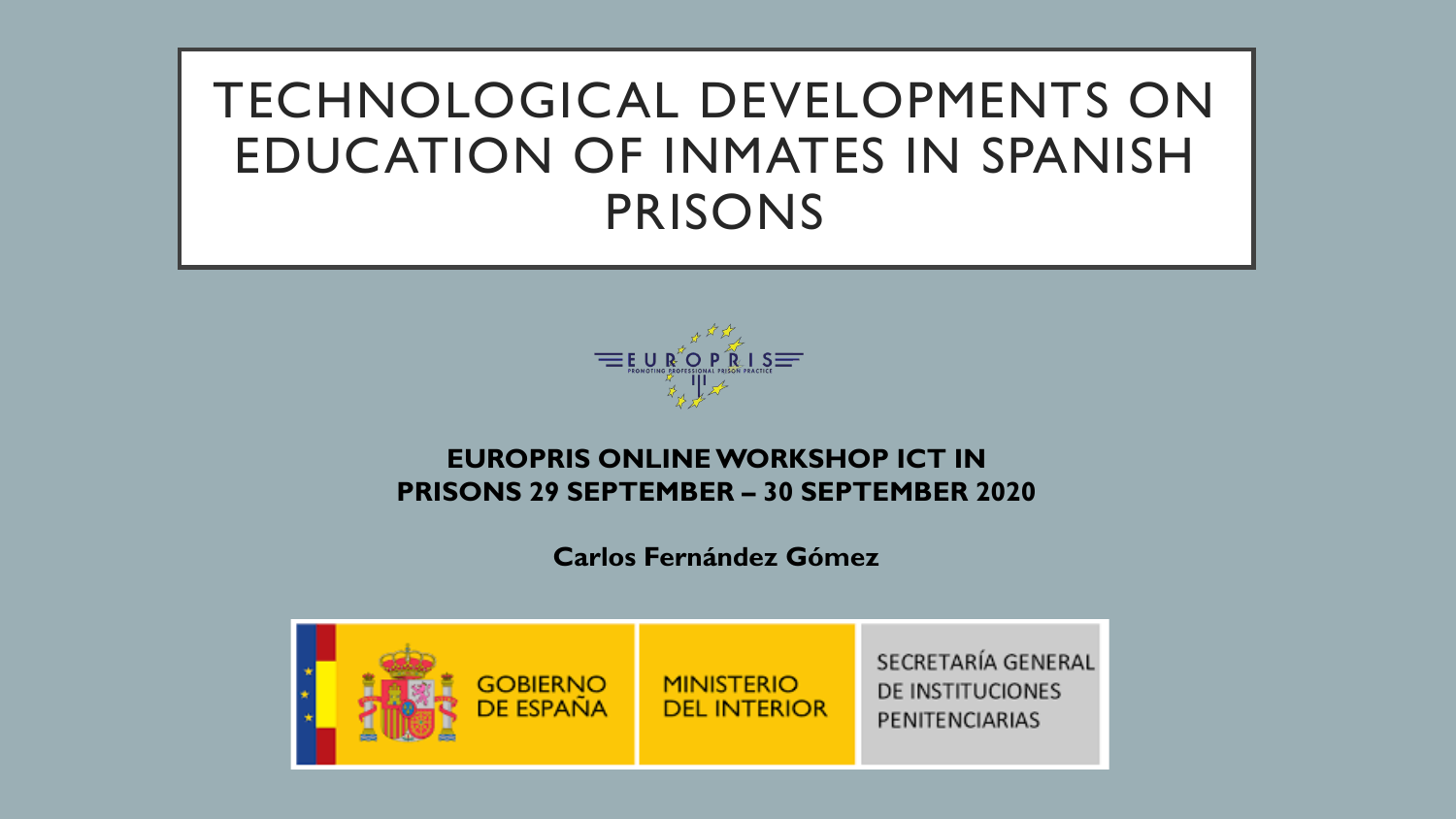# TECHNOLOGICAL DEVELOPMENTS ON EDUCATION OF INMATES IN SPANISH PRISONS



#### **EUROPRIS ONLINE WORKSHOP ICT IN PRISONS 29 SEPTEMBER – 30 SEPTEMBER 2020**

**Carlos Fernández Gómez**

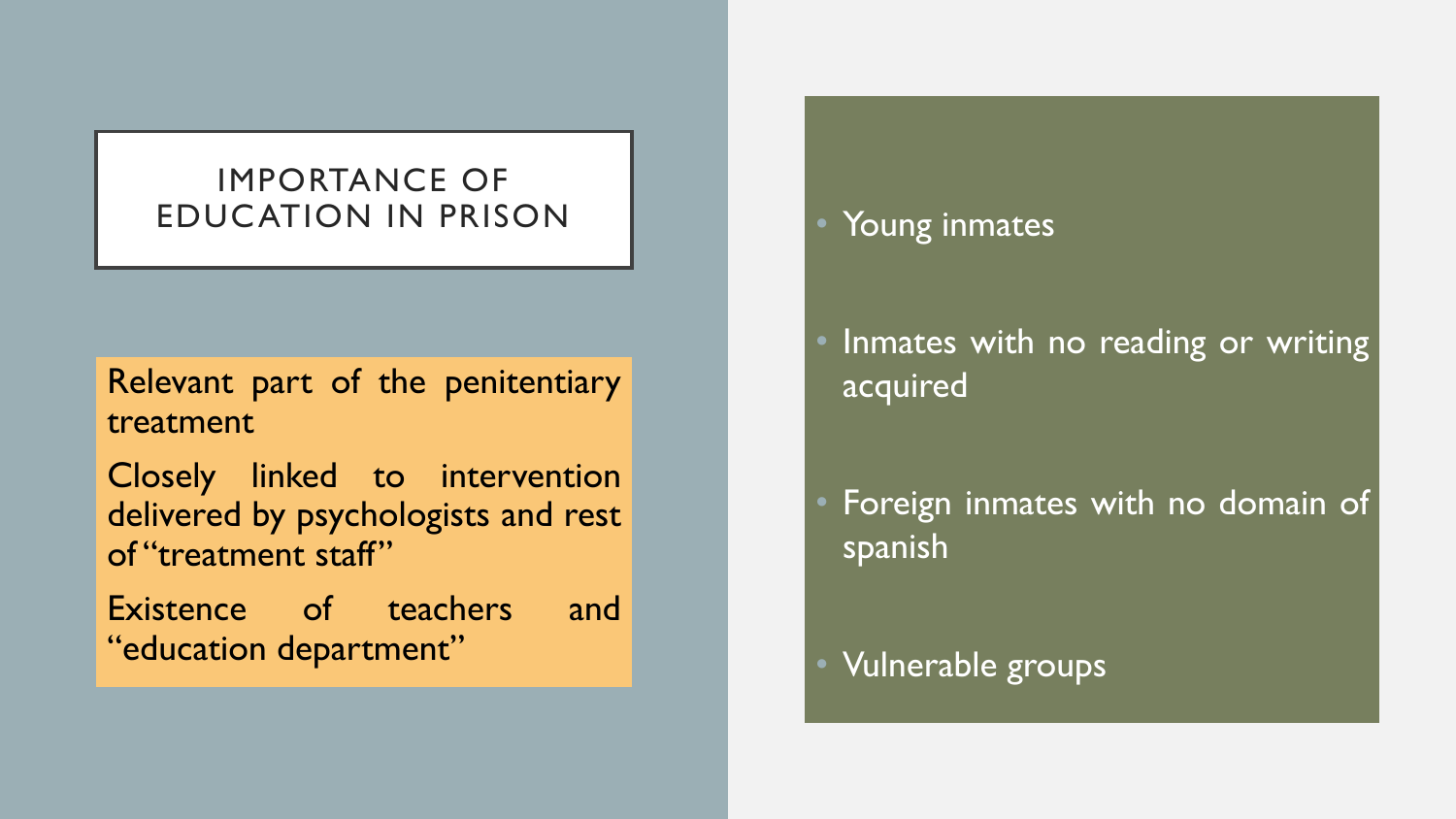### IMPORTANCE OF EDUCATION IN PRISON **EDUCATION**

Relevant part of the penitentiary treatment

Closely linked to intervention delivered by psychologists and rest of "treatment staff"

Existence of teachers and "education department"

Inmates with no reading or writing acquired

Foreign inmates with no domain of spanish

• Vulnerable groups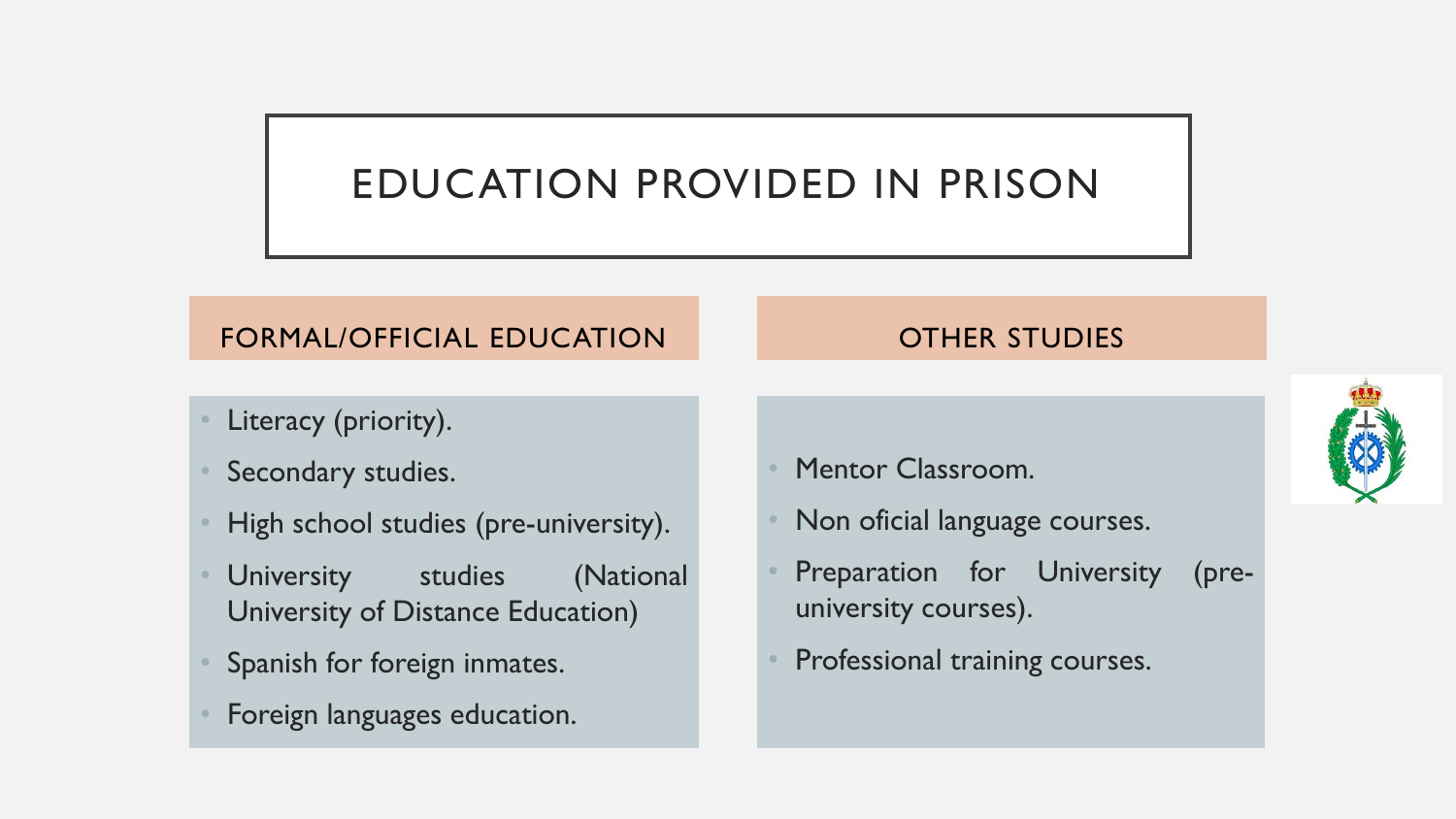### EDUCATION PROVIDED IN PRISON

#### FORMAL/OFFICIAL EDUCATION

- Literacy (priority).
- Secondary studies.
- High school studies (pre-university).
- University studies (National University of Distance Education)
- Spanish for foreign inmates.
- Foreign languages education.

#### OTHER STUDIES

- Mentor Classroom.
- Non oficial language courses.
- Preparation for University (preuniversity courses).
- Professional training courses.

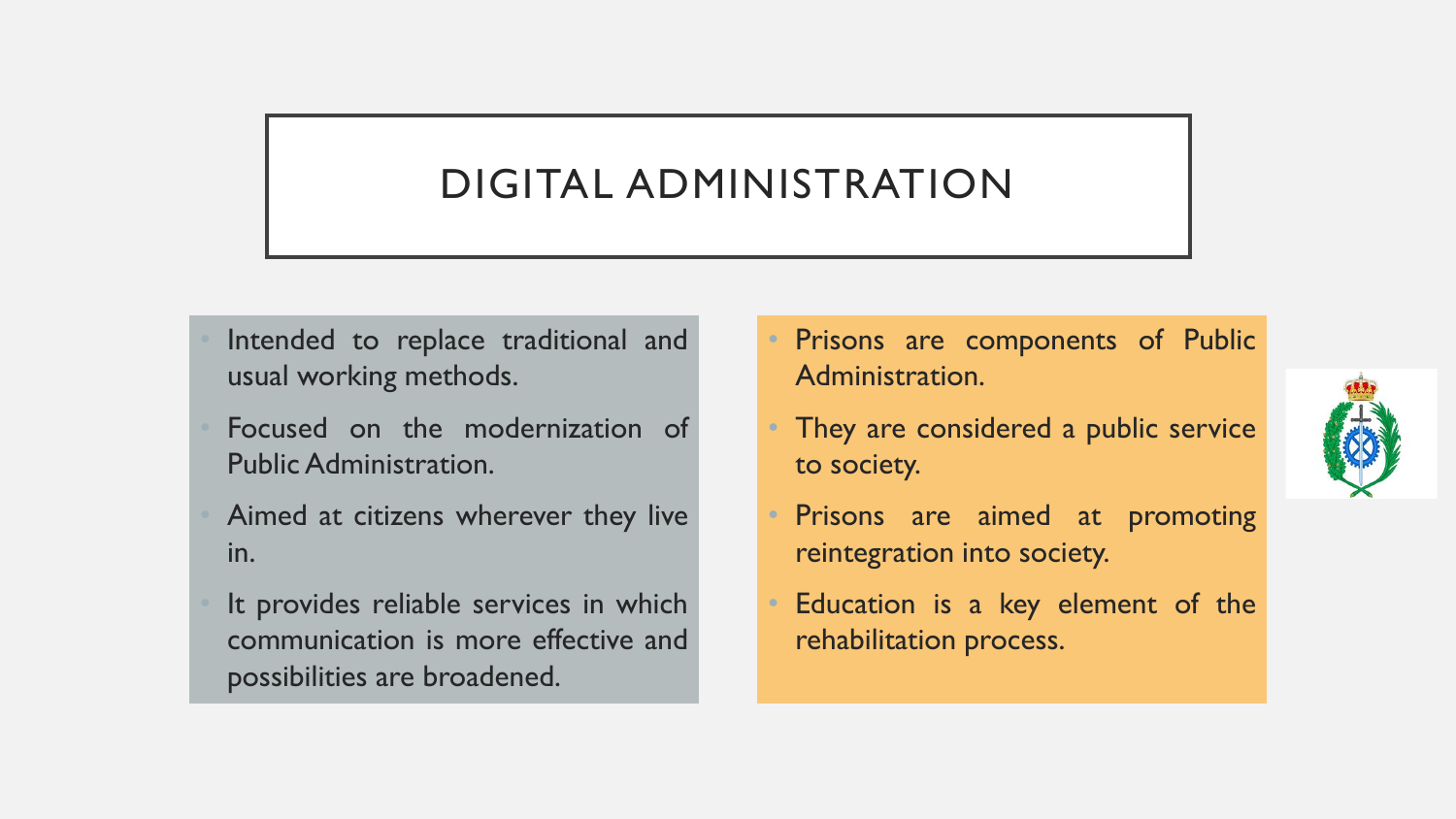### DIGITAL ADMINISTRATION

- Intended to replace traditional and usual working methods.
- Focused on the modernization of Public Administration.
- Aimed at citizens wherever they live in.
- It provides reliable services in which communication is more effective and possibilities are broadened.
- Prisons are components of Public Administration.
- They are considered a public service to society.
- Prisons are aimed at promoting reintegration into society.
- Education is a key element of the rehabilitation process.

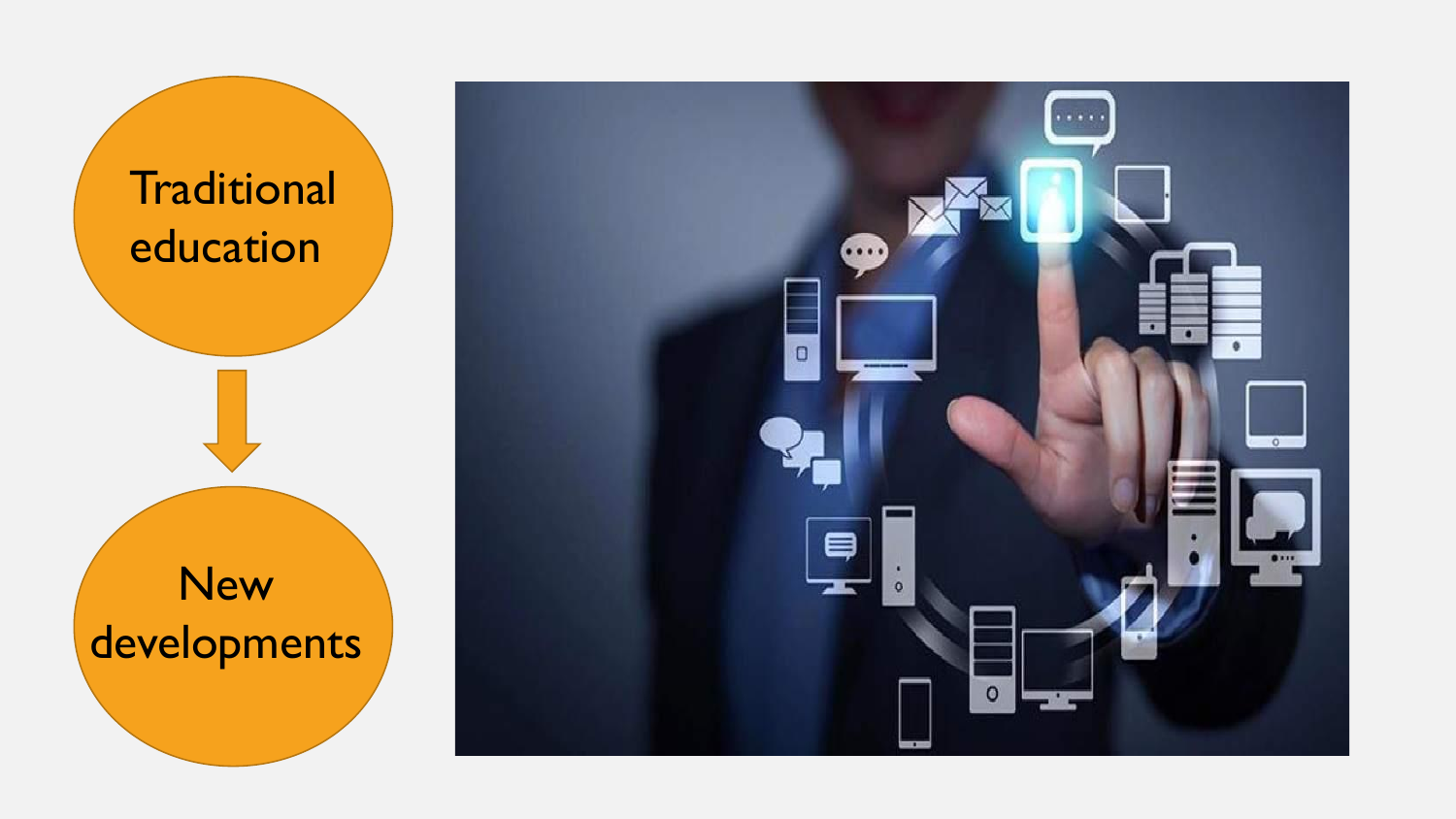

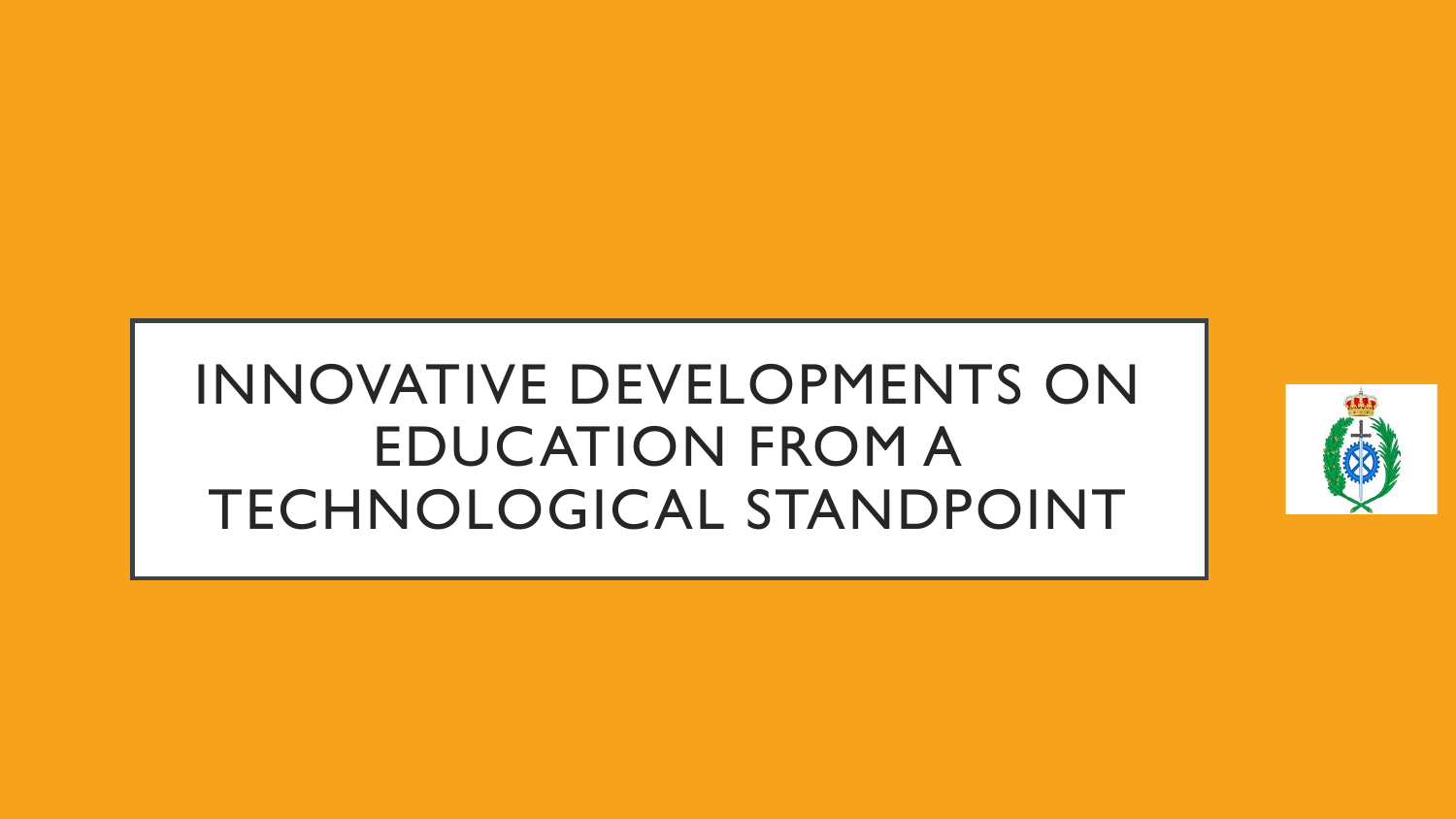# INNOVATIVE DEVELOPMENTS ON EDUCATION FROM A TECHNOLOGICAL STANDPOINT

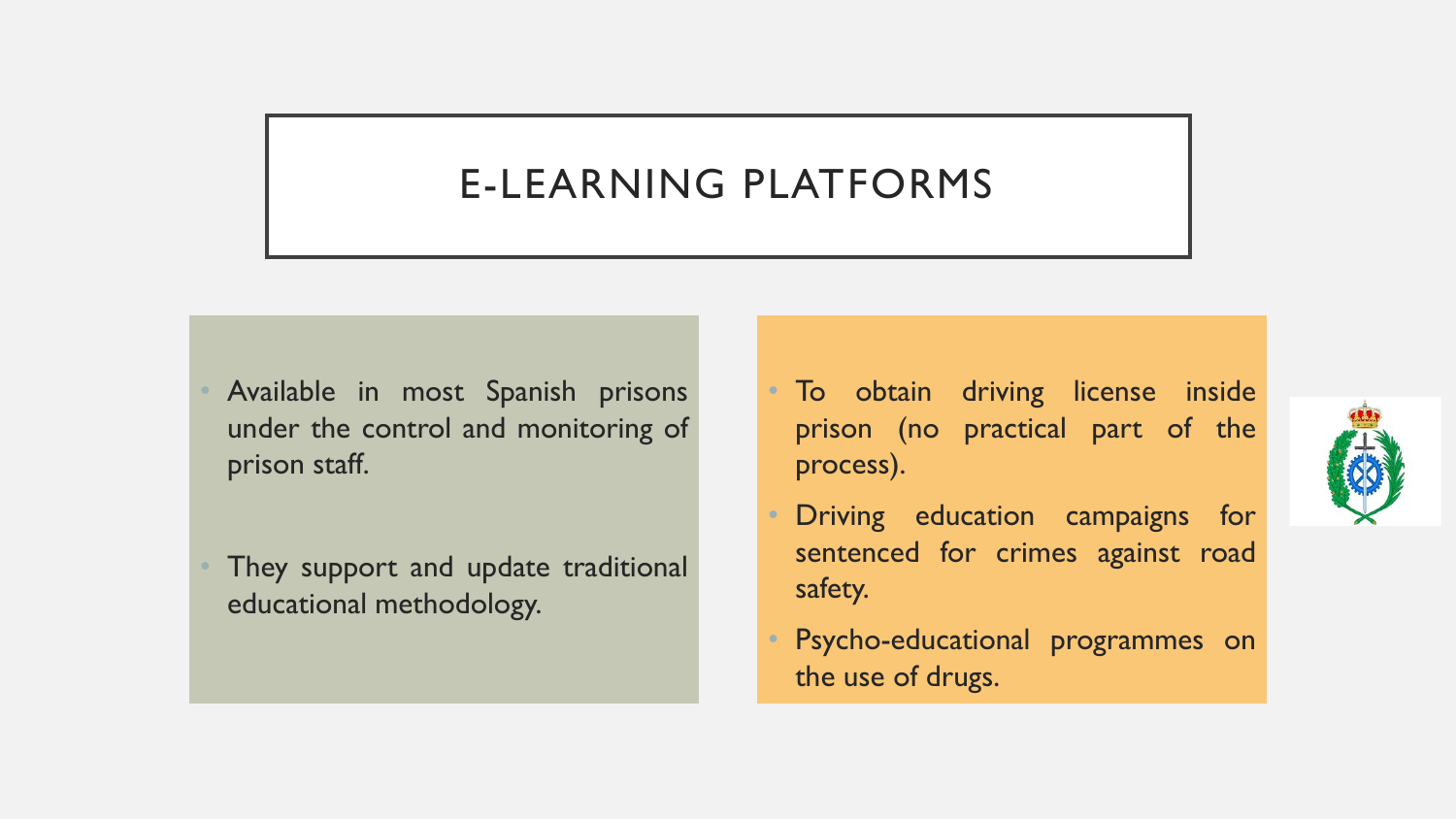### E-LEARNING PLATFORMS

- Available in most Spanish prisons under the control and monitoring of prison staff.
- They support and update traditional educational methodology.
- To obtain driving license inside prison (no practical part of the process).
- Driving education campaigns for sentenced for crimes against road safety.
- Psycho-educational programmes on the use of drugs.

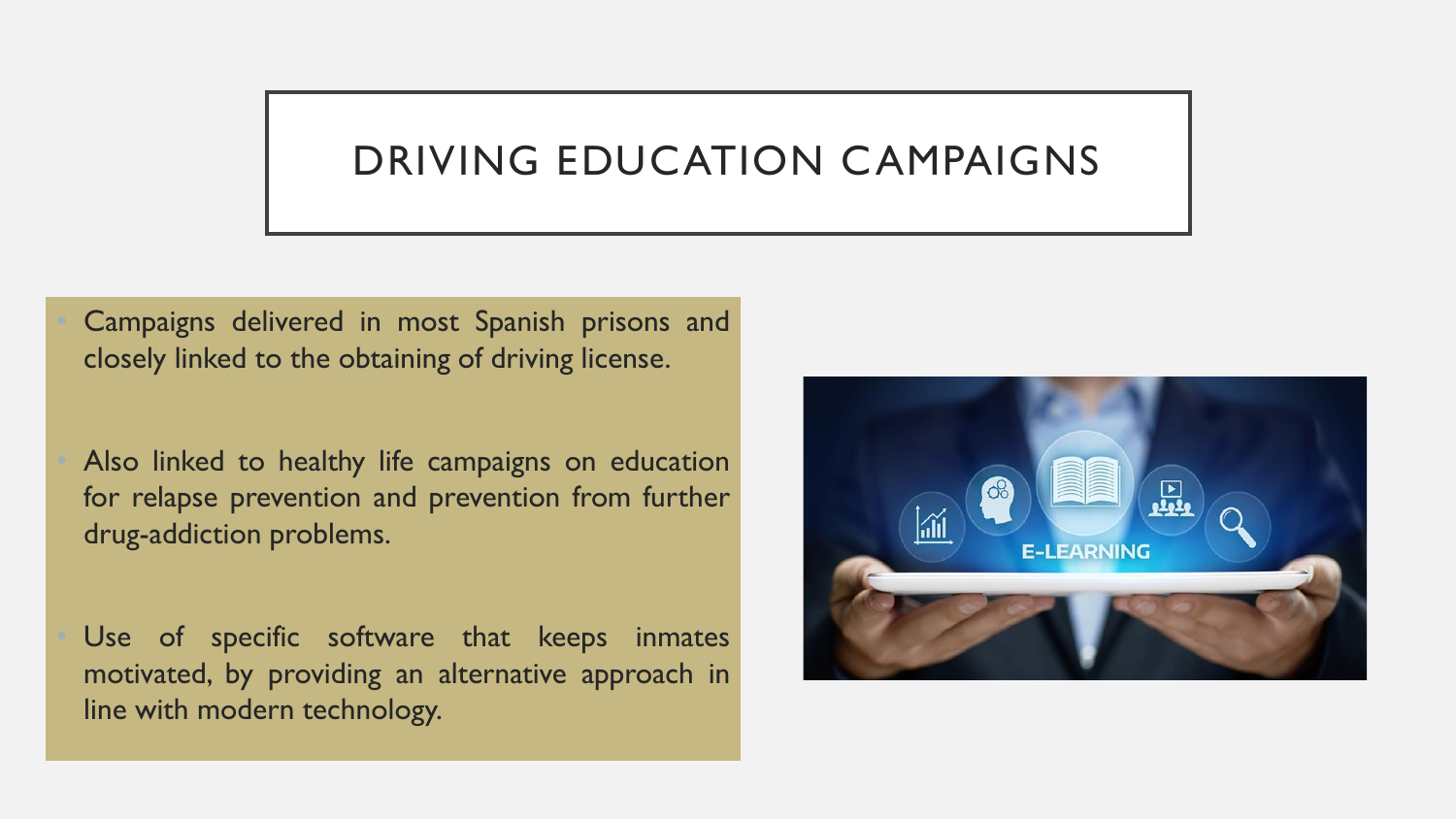### DRIVING EDUCATION CAMPAIGNS

• Campaigns delivered in most Spanish prisons and closely linked to the obtaining of driving license.

Also linked to healthy life campaigns on education for relapse prevention and prevention from further drug-addiction problems.

Use of specific software that keeps inmates motivated, by providing an alternative approach in line with modern technology.

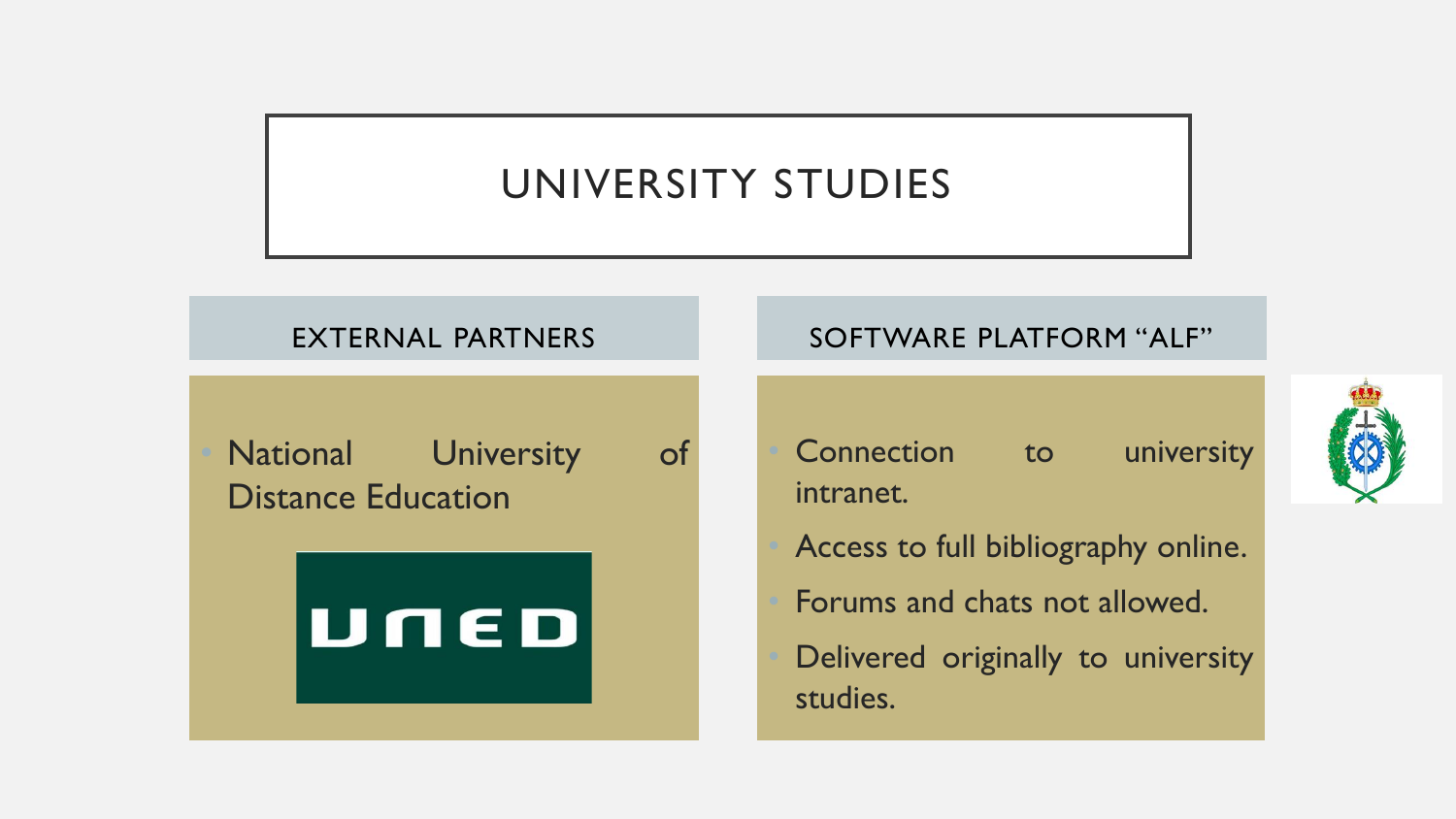### UNIVERSITY STUDIES

#### EXTERNAL PARTNERS

National University of Distance Education



#### SOFTWARE PLATFORM "ALF"

- Connection to university intranet.
- Access to full bibliography online.
- Forums and chats not allowed.
- Delivered originally to university studies.

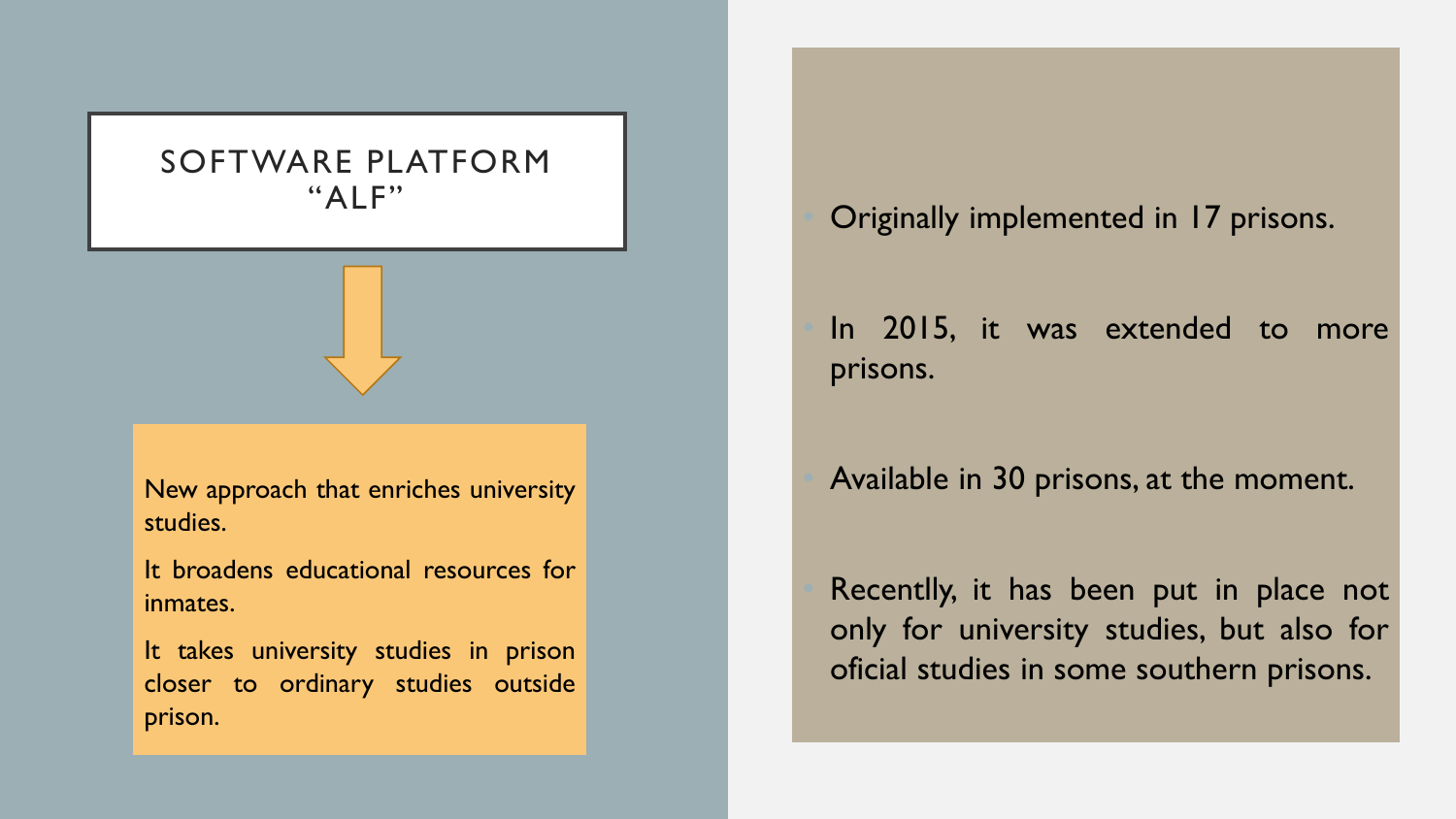#### SOFTWARE PLATFORM "ALF"

New approach that enriches university studies.

It broadens educational resources for inmates.

It takes university studies in prison closer to ordinary studies outside prison.

• Originally implemented in 17 prisons.

In 2015, it was extended to more prisons.

#### • Available in 30 prisons, at the moment.

Recentlly, it has been put in place not only for university studies, but also for oficial studies in some southern prisons.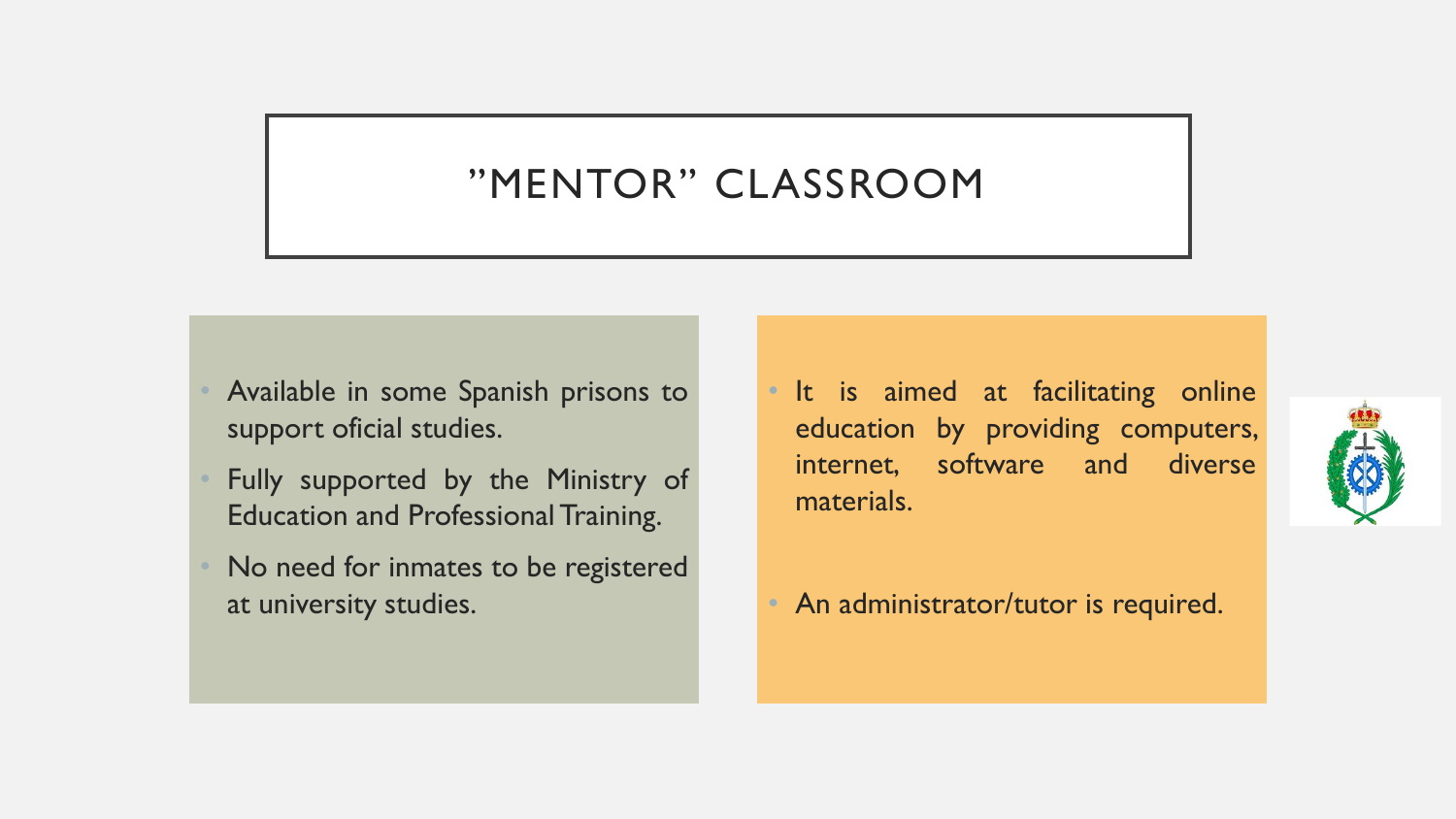### "MENTOR" CLASSROOM

- Available in some Spanish prisons to support oficial studies.
- Fully supported by the Ministry of Education and Professional Training.
- No need for inmates to be registered at university studies.
- It is aimed at facilitating online education by providing computers, internet, software and diverse materials.
- An administrator/tutor is required.

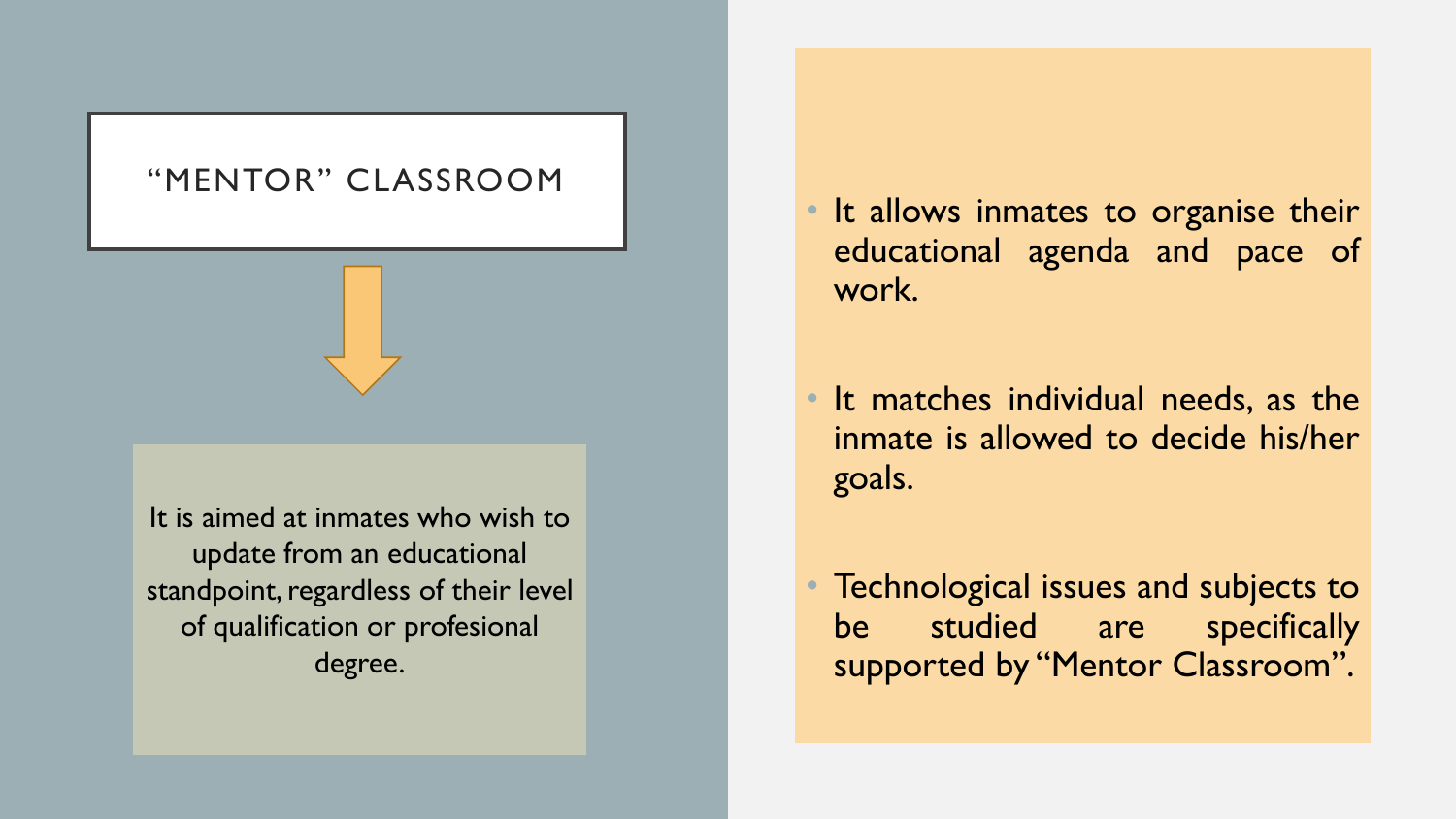#### "MENTOR" CLASSROOM

It is aimed at inmates who wish to update from an educational standpoint, regardless of their level of qualification or profesional degree.

- It allows inmates to organise their educational agenda and pace of work.
- It matches individual needs, as the inmate is allowed to decide his/her goals.
- Technological issues and subjects to be studied are specifically supported by "Mentor Classroom".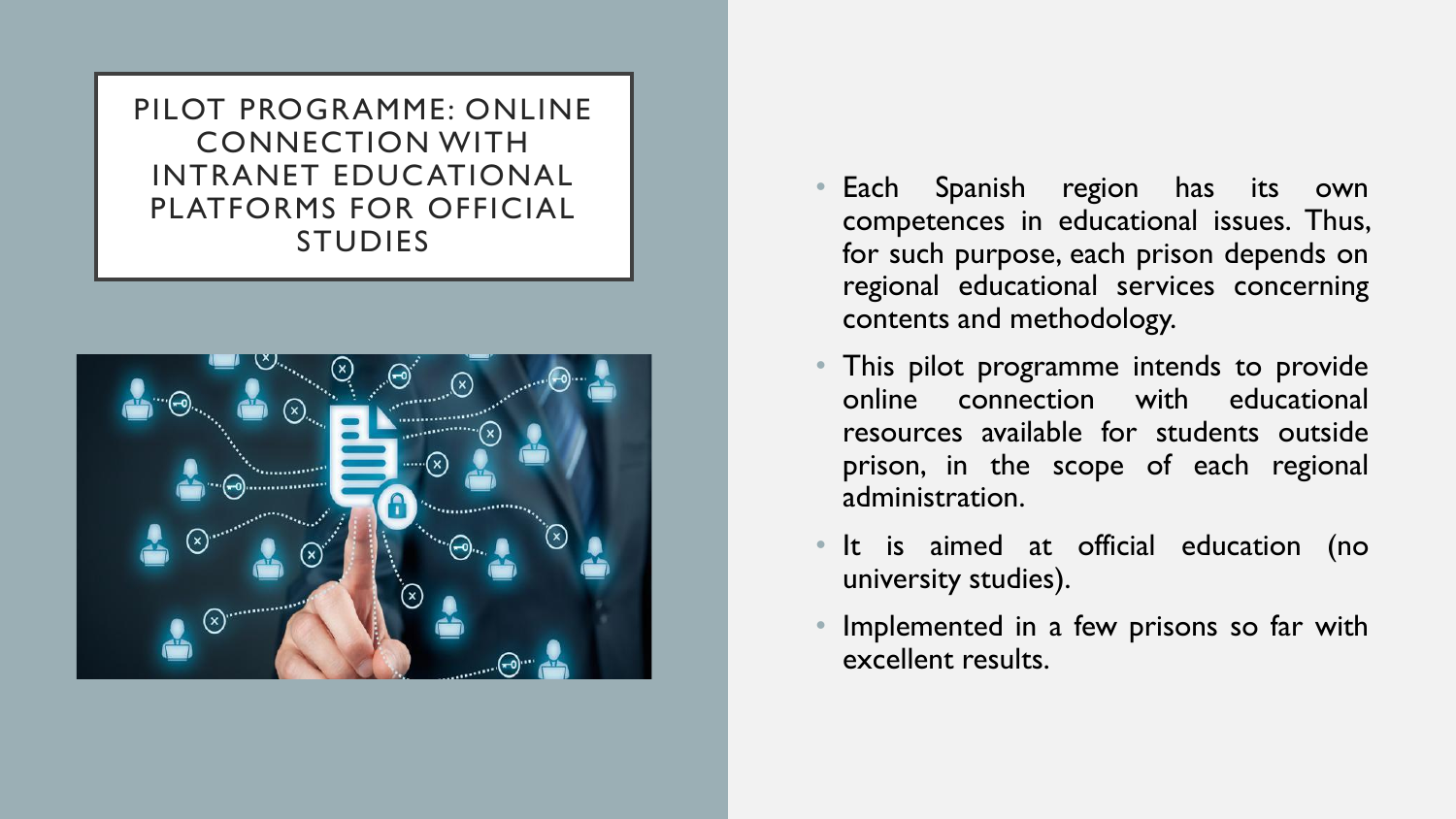PILOT PROGRAMME: ONLINE CONNECTION WITH INTRANET EDUCATIONAL PLATFORMS FOR OFFICIAL STUDIES



- Each Spanish region has its own competences in educational issues. Thus, for such purpose, each prison depends on regional educational services concerning contents and methodology.
- This pilot programme intends to provide online connection with educational resources available for students outside prison, in the scope of each regional administration.
- It is aimed at official education (no university studies).
- Implemented in a few prisons so far with excellent results.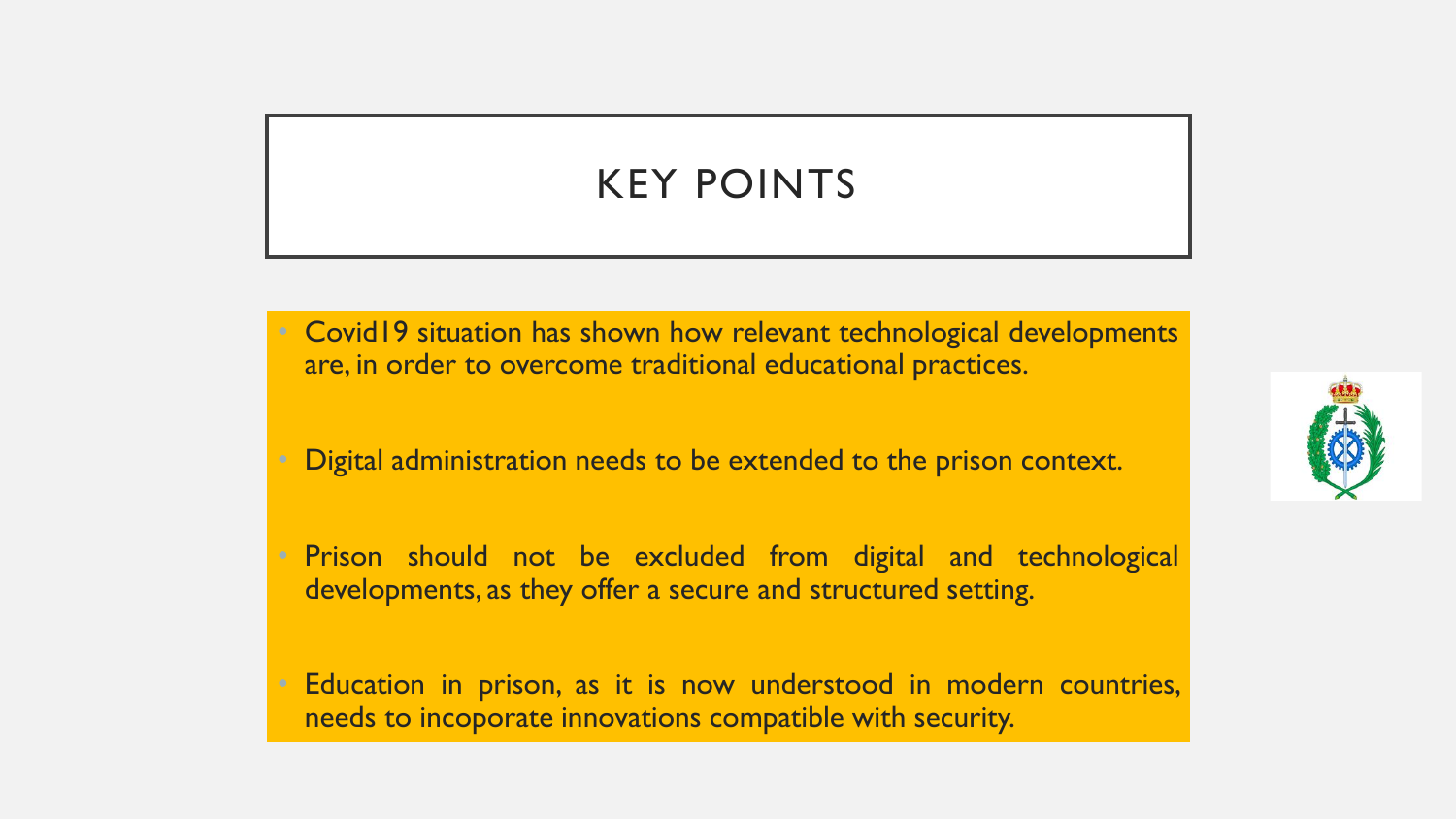## KEY POINTS

- Covid19 situation has shown how relevant technological developments are, in order to overcome traditional educational practices.
- Digital administration needs to be extended to the prison context.
- Prison should not be excluded from digital and technological developments, as they offer a secure and structured setting.
- Education in prison, as it is now understood in modern countries, needs to incoporate innovations compatible with security.

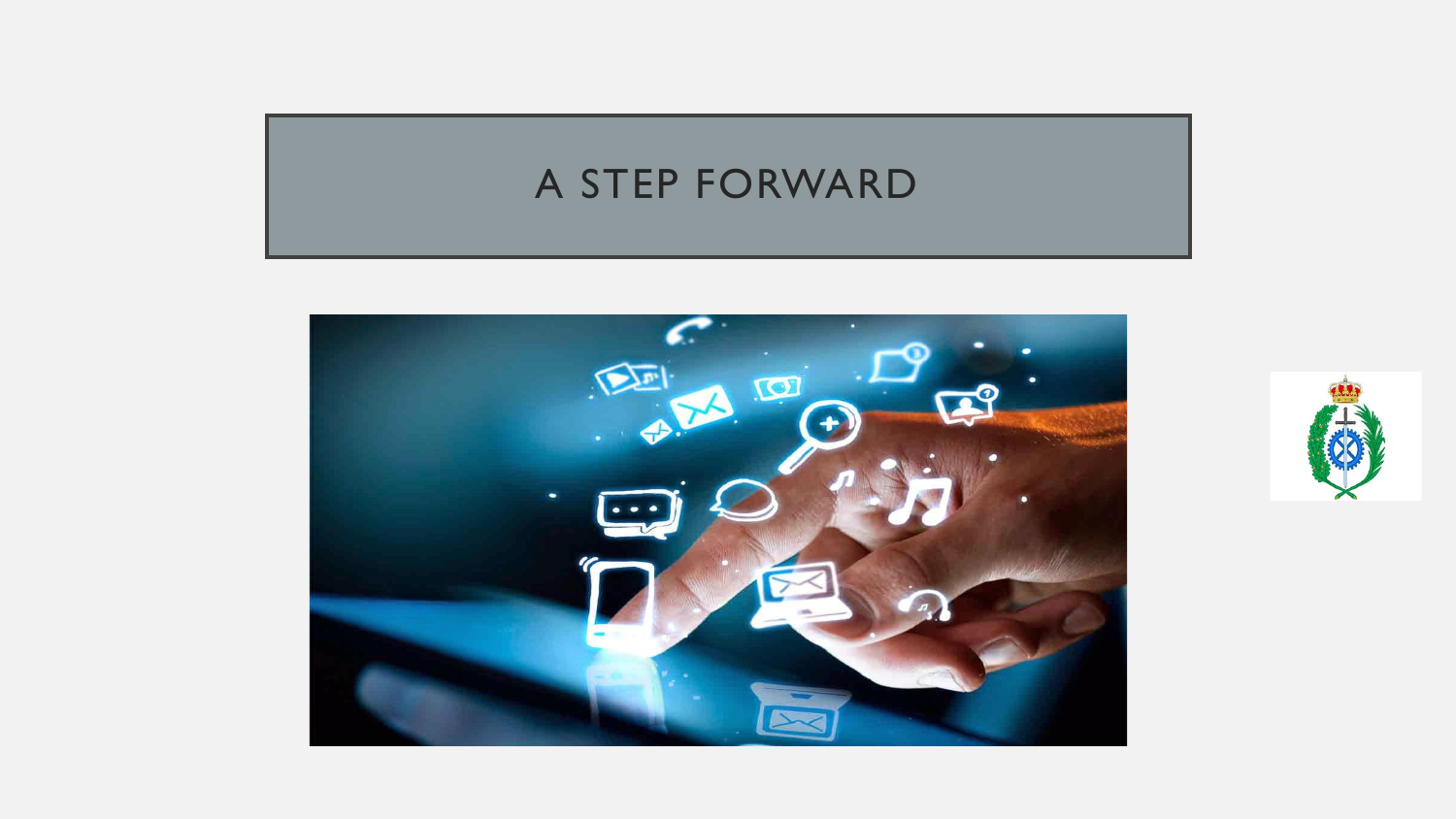### A STEP FORWARD



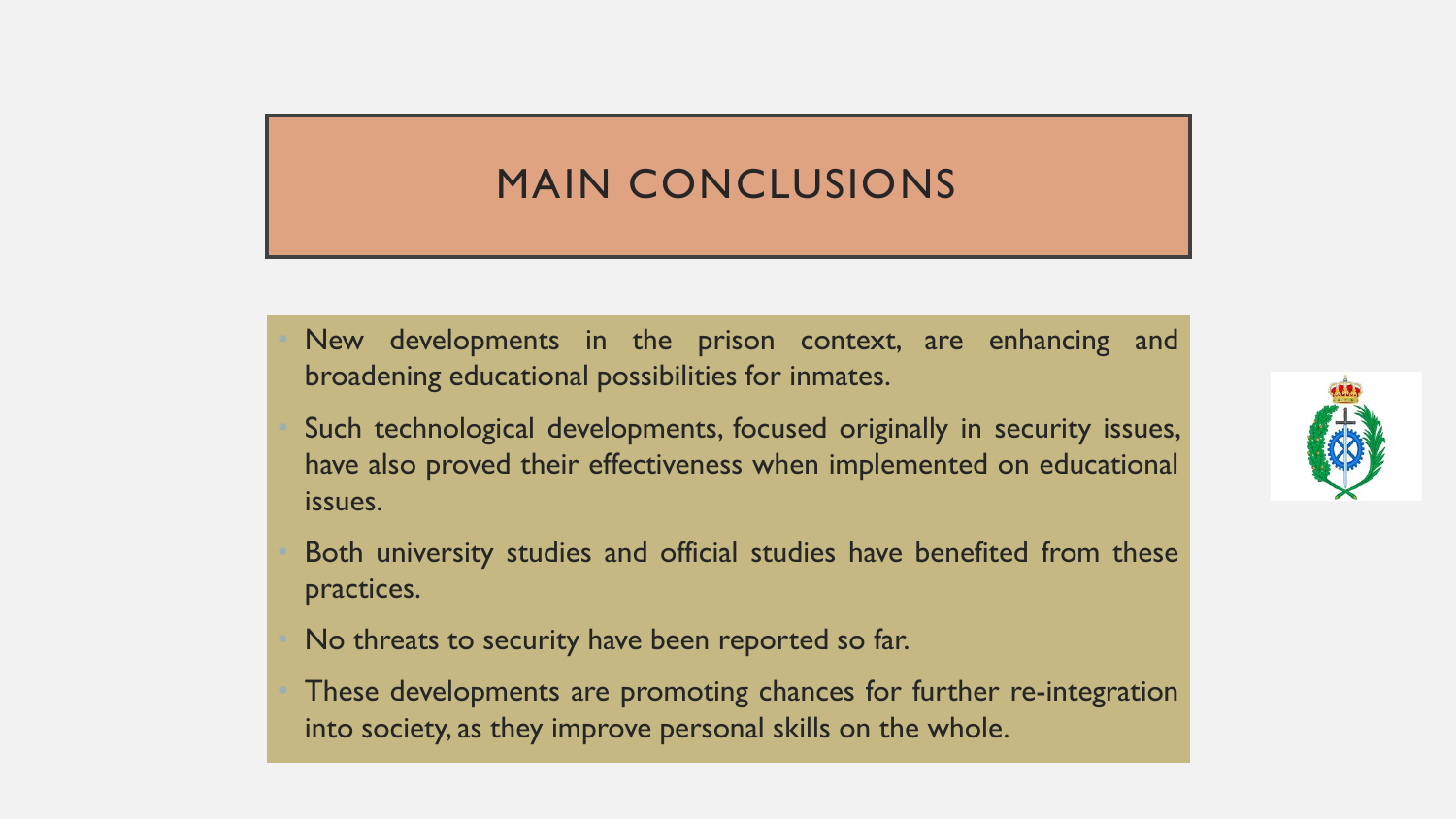### MAIN CONCLUSIONS

New developments in the prison context, are enhancing and broadening educational possibilities for inmates.

Such technological developments, focused originally in security issues, have also proved their effectiveness when implemented on educational issues.

Both university studies and official studies have benefited from these practices.

No threats to security have been reported so far.

These developments are promoting chances for further re-integration into society, as they improve personal skills on the whole.